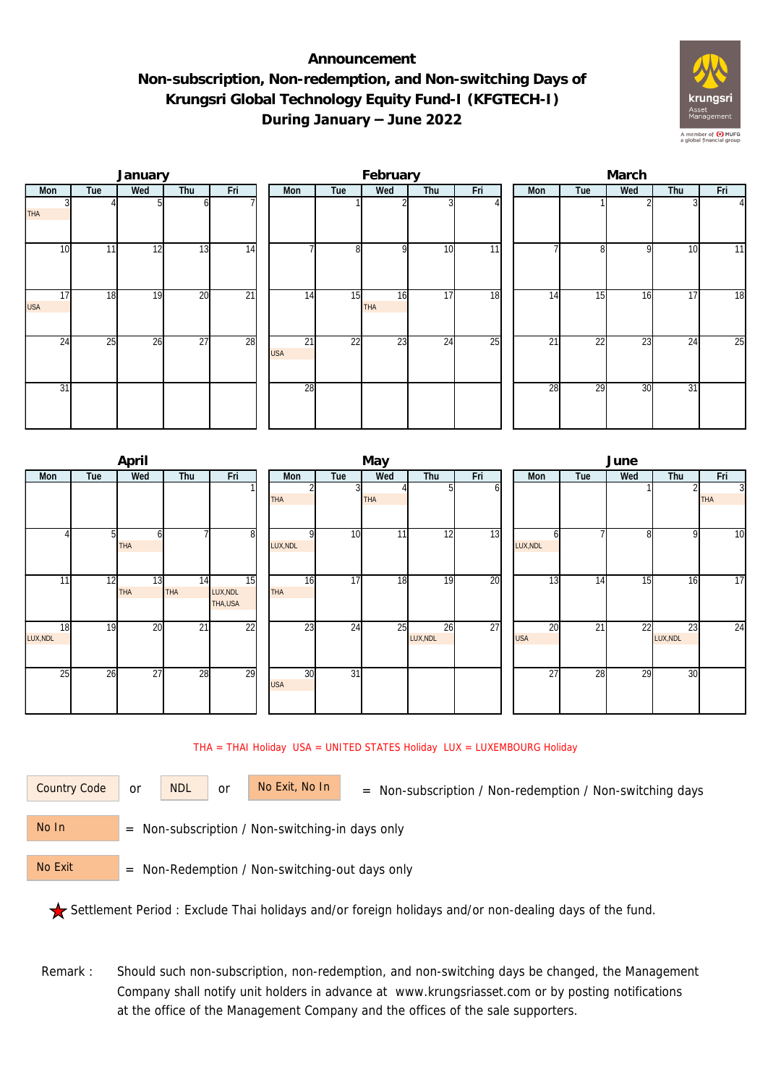## **Announcement Non-subscription, Non-redemption, and Non-switching Days of Krungsri Global Technology Equity Fund-I (KFGTECH-I) During January – June 2022**



|                  |     | January |                 |                 |                  |                 | February  |                 |                 | March |     |                 |     |     |                |  |
|------------------|-----|---------|-----------------|-----------------|------------------|-----------------|-----------|-----------------|-----------------|-------|-----|-----------------|-----|-----|----------------|--|
| Mon              | Tue | Wed     | Thu             | Fri             | Mon              | Tue             | Wed       | Thu             | Fri             |       | Mon | Tue             | Wed | Thu | Fri            |  |
| <b>THA</b>       |     |         | ωI              |                 |                  |                 |           |                 |                 |       |     |                 |     |     | $\overline{4}$ |  |
| 10               | 11  | 12      | 13              | 14              |                  | 8               | οI        | 10              | $\overline{11}$ |       |     | 81              | 9   | 10  | 11             |  |
| 17<br><b>USA</b> | 18  | 19      | 20              | $\overline{21}$ | 14               | 15              | 16<br>THA | 17              | 18              |       | 14  | 15              | 16  | 17  | 18             |  |
| $2\overline{4}$  | 25  | 26      | $\overline{27}$ | 28              | 21<br><b>USA</b> | $\overline{22}$ | 23        | $2\overline{4}$ | $\overline{25}$ |       | 21  | $2\overline{2}$ | 23  | 24  | 25             |  |
| 31               |     |         |                 |                 | 28               |                 |           |                 |                 |       | 28  | 29              | 30  | 31  |                |  |

|                |     | April            |           |                           |  |                  |                 | May        |                |     | June             |     |     |                |                 |  |  |
|----------------|-----|------------------|-----------|---------------------------|--|------------------|-----------------|------------|----------------|-----|------------------|-----|-----|----------------|-----------------|--|--|
| Mon            | Tue | Wed              | Thu       | Fri                       |  | Mon              | Tue             | Wed        | Thu            | Fri | Mon              | Tue | Wed | Thu            | Fri             |  |  |
|                |     |                  |           |                           |  | THA              |                 | <b>THA</b> | 51             | οı  |                  |     |     |                | 3<br><b>THA</b> |  |  |
|                | 51  | h<br>THA         |           | 8                         |  | LUX, NDL         | 10              | 11         | 12             | 13  | h<br>LUX, NDL    |     | 8   | 9              | $\overline{10}$ |  |  |
| 11             | 12  | 13<br><b>THA</b> | 14<br>THA | 15<br>LUX, NDL<br>THA,USA |  | 16<br>THA        | $\overline{17}$ | 18         | 19             | 20  | 13               | 14  | 15  | 16             | $\overline{17}$ |  |  |
| 18<br>LUX, NDL | 19  | 20               | 21        | 22                        |  | 23               | 24              | 25         | 26<br>LUX, NDL | 27  | 20<br><b>USA</b> | 21  | 22  | 23<br>LUX, NDL | 24              |  |  |
| 25             | 26  | 27               | 28        | 29                        |  | 30<br><b>USA</b> | $\overline{31}$ |            |                |     | 27               | 28  | 29  | 30             |                 |  |  |

## THA = THAI Holiday USA = UNITED STATES Holiday LUX = LUXEMBOURG Holiday

or NDL or

Country Code or NDL or No Exit, No In = Non-subscription / Non-redemption / Non-switching days

 = Non-subscription / Non-switching-in days only No In

 = Non-Redemption / Non-switching-out days only No Exit

Settlement Period : Exclude Thai holidays and/or foreign holidays and/or non-dealing days of the fund.

Remark : Should such non-subscription, non-redemption, and non-switching days be changed, the Management Company shall notify unit holders in advance at www.krungsriasset.com or by posting notifications at the office of the Management Company and the offices of the sale supporters.